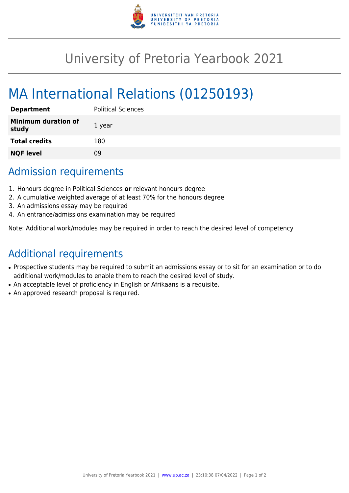

## University of Pretoria Yearbook 2021

# MA International Relations (01250193)

| <b>Department</b>                   | <b>Political Sciences</b> |
|-------------------------------------|---------------------------|
| <b>Minimum duration of</b><br>study | 1 year                    |
| <b>Total credits</b>                | 180                       |
| <b>NQF level</b>                    | ΩÓ                        |

#### Admission requirements

- 1. Honours degree in Political Sciences **or** relevant honours degree
- 2. A cumulative weighted average of at least 70% for the honours degree
- 3. An admissions essay may be required
- 4. An entrance/admissions examination may be required

Note: Additional work/modules may be required in order to reach the desired level of competency

### Additional requirements

- Prospective students may be required to submit an admissions essay or to sit for an examination or to do additional work/modules to enable them to reach the desired level of study.
- An acceptable level of proficiency in English or Afrikaans is a requisite.
- An approved research proposal is required.